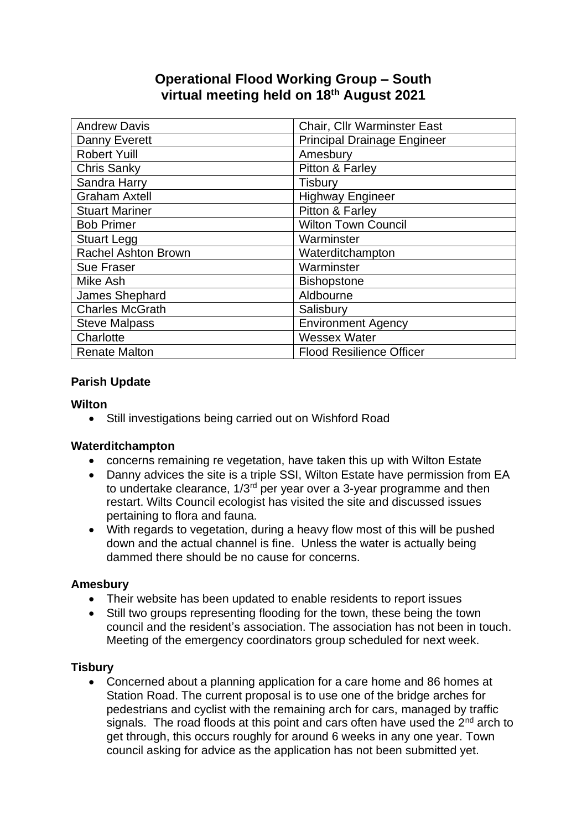## **Operational Flood Working Group – South virtual meeting held on 18th August 2021**

| <b>Andrew Davis</b>        | Chair, Cllr Warminster East        |
|----------------------------|------------------------------------|
| Danny Everett              | <b>Principal Drainage Engineer</b> |
| <b>Robert Yuill</b>        | Amesbury                           |
| <b>Chris Sanky</b>         | Pitton & Farley                    |
| Sandra Harry               | <b>Tisbury</b>                     |
| <b>Graham Axtell</b>       | <b>Highway Engineer</b>            |
| <b>Stuart Mariner</b>      | Pitton & Farley                    |
| <b>Bob Primer</b>          | <b>Wilton Town Council</b>         |
| <b>Stuart Legg</b>         | Warminster                         |
| <b>Rachel Ashton Brown</b> | Waterditchampton                   |
| <b>Sue Fraser</b>          | Warminster                         |
| Mike Ash                   | <b>Bishopstone</b>                 |
| James Shephard             | Aldbourne                          |
| <b>Charles McGrath</b>     | Salisbury                          |
| <b>Steve Malpass</b>       | <b>Environment Agency</b>          |
| Charlotte                  | <b>Wessex Water</b>                |
| <b>Renate Malton</b>       | <b>Flood Resilience Officer</b>    |

#### **Parish Update**

#### **Wilton**

• Still investigations being carried out on Wishford Road

### **Waterditchampton**

- concerns remaining re vegetation, have taken this up with Wilton Estate
- Danny advices the site is a triple SSI, Wilton Estate have permission from EA to undertake clearance,  $1/3<sup>rd</sup>$  per year over a 3-year programme and then restart. Wilts Council ecologist has visited the site and discussed issues pertaining to flora and fauna.
- With regards to vegetation, during a heavy flow most of this will be pushed down and the actual channel is fine. Unless the water is actually being dammed there should be no cause for concerns.

#### **Amesbury**

- Their website has been updated to enable residents to report issues
- Still two groups representing flooding for the town, these being the town council and the resident's association. The association has not been in touch. Meeting of the emergency coordinators group scheduled for next week.

### **Tisbury**

• Concerned about a planning application for a care home and 86 homes at Station Road. The current proposal is to use one of the bridge arches for pedestrians and cyclist with the remaining arch for cars, managed by traffic signals. The road floods at this point and cars often have used the 2<sup>nd</sup> arch to get through, this occurs roughly for around 6 weeks in any one year. Town council asking for advice as the application has not been submitted yet.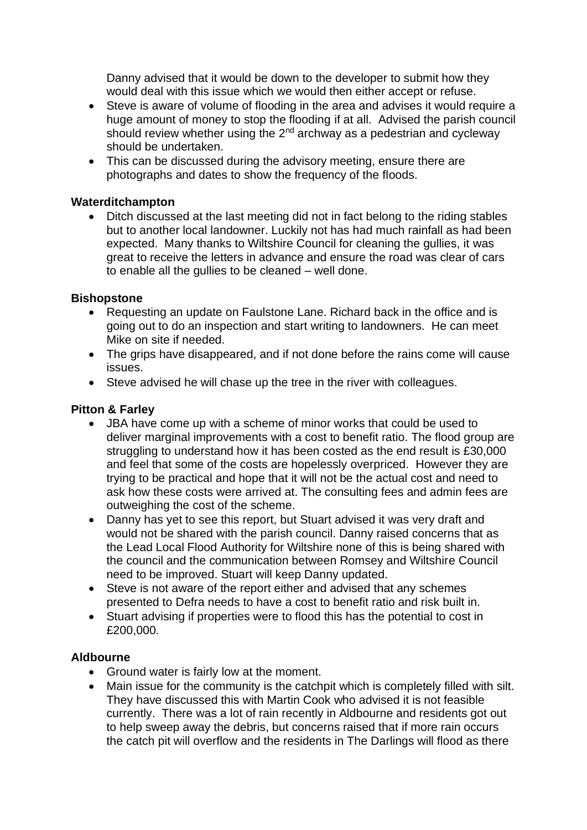Danny advised that it would be down to the developer to submit how they would deal with this issue which we would then either accept or refuse.

- Steve is aware of volume of flooding in the area and advises it would require a huge amount of money to stop the flooding if at all. Advised the parish council should review whether using the  $2^{nd}$  archway as a pedestrian and cycleway should be undertaken.
- This can be discussed during the advisory meeting, ensure there are photographs and dates to show the frequency of the floods.

#### **Waterditchampton**

• Ditch discussed at the last meeting did not in fact belong to the riding stables but to another local landowner. Luckily not has had much rainfall as had been expected. Many thanks to Wiltshire Council for cleaning the gullies, it was great to receive the letters in advance and ensure the road was clear of cars to enable all the gullies to be cleaned – well done.

#### **Bishopstone**

- Requesting an update on Faulstone Lane. Richard back in the office and is going out to do an inspection and start writing to landowners. He can meet Mike on site if needed.
- The grips have disappeared, and if not done before the rains come will cause issues.
- Steve advised he will chase up the tree in the river with colleagues.

#### **Pitton & Farley**

- JBA have come up with a scheme of minor works that could be used to deliver marginal improvements with a cost to benefit ratio. The flood group are struggling to understand how it has been costed as the end result is £30,000 and feel that some of the costs are hopelessly overpriced. However they are trying to be practical and hope that it will not be the actual cost and need to ask how these costs were arrived at. The consulting fees and admin fees are outweighing the cost of the scheme.
- Danny has yet to see this report, but Stuart advised it was very draft and would not be shared with the parish council. Danny raised concerns that as the Lead Local Flood Authority for Wiltshire none of this is being shared with the council and the communication between Romsey and Wiltshire Council need to be improved. Stuart will keep Danny updated.
- Steve is not aware of the report either and advised that any schemes presented to Defra needs to have a cost to benefit ratio and risk built in.
- Stuart advising if properties were to flood this has the potential to cost in £200,000.

#### **Aldbourne**

- Ground water is fairly low at the moment.
- Main issue for the community is the catchpit which is completely filled with silt. They have discussed this with Martin Cook who advised it is not feasible currently. There was a lot of rain recently in Aldbourne and residents got out to help sweep away the debris, but concerns raised that if more rain occurs the catch pit will overflow and the residents in The Darlings will flood as there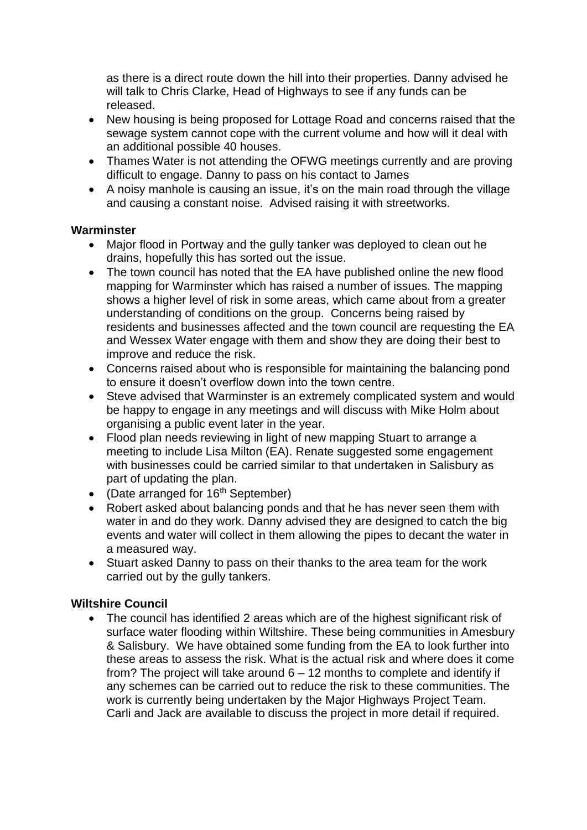as there is a direct route down the hill into their properties. Danny advised he will talk to Chris Clarke, Head of Highways to see if any funds can be released.

- New housing is being proposed for Lottage Road and concerns raised that the sewage system cannot cope with the current volume and how will it deal with an additional possible 40 houses.
- Thames Water is not attending the OFWG meetings currently and are proving difficult to engage. Danny to pass on his contact to James
- A noisy manhole is causing an issue, it's on the main road through the village and causing a constant noise. Advised raising it with streetworks.

#### **Warminster**

- Major flood in Portway and the gully tanker was deployed to clean out he drains, hopefully this has sorted out the issue.
- The town council has noted that the EA have published online the new flood mapping for Warminster which has raised a number of issues. The mapping shows a higher level of risk in some areas, which came about from a greater understanding of conditions on the group. Concerns being raised by residents and businesses affected and the town council are requesting the EA and Wessex Water engage with them and show they are doing their best to improve and reduce the risk.
- Concerns raised about who is responsible for maintaining the balancing pond to ensure it doesn't overflow down into the town centre.
- Steve advised that Warminster is an extremely complicated system and would be happy to engage in any meetings and will discuss with Mike Holm about organising a public event later in the year.
- Flood plan needs reviewing in light of new mapping Stuart to arrange a meeting to include Lisa Milton (EA). Renate suggested some engagement with businesses could be carried similar to that undertaken in Salisbury as part of updating the plan.
- (Date arranged for  $16<sup>th</sup>$  September)
- Robert asked about balancing ponds and that he has never seen them with water in and do they work. Danny advised they are designed to catch the big events and water will collect in them allowing the pipes to decant the water in a measured way.
- Stuart asked Danny to pass on their thanks to the area team for the work carried out by the gully tankers.

### **Wiltshire Council**

• The council has identified 2 areas which are of the highest significant risk of surface water flooding within Wiltshire. These being communities in Amesbury & Salisbury. We have obtained some funding from the EA to look further into these areas to assess the risk. What is the actual risk and where does it come from? The project will take around  $6 - 12$  months to complete and identify if any schemes can be carried out to reduce the risk to these communities. The work is currently being undertaken by the Major Highways Project Team. Carli and Jack are available to discuss the project in more detail if required.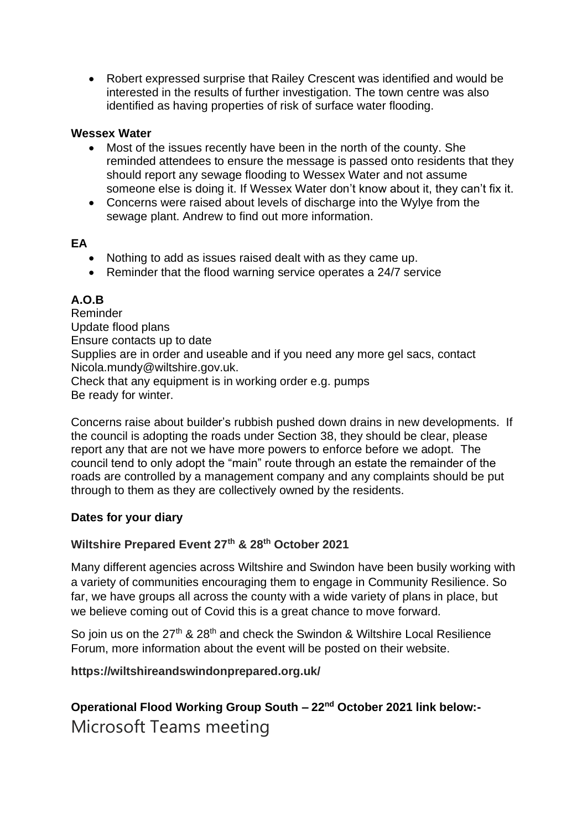• Robert expressed surprise that Railey Crescent was identified and would be interested in the results of further investigation. The town centre was also identified as having properties of risk of surface water flooding.

#### **Wessex Water**

- Most of the issues recently have been in the north of the county. She reminded attendees to ensure the message is passed onto residents that they should report any sewage flooding to Wessex Water and not assume someone else is doing it. If Wessex Water don't know about it, they can't fix it.
- Concerns were raised about levels of discharge into the Wylye from the sewage plant. Andrew to find out more information.

#### **EA**

- Nothing to add as issues raised dealt with as they came up.
- Reminder that the flood warning service operates a 24/7 service

## **A.O.B**

Reminder Update flood plans Ensure contacts up to date Supplies are in order and useable and if you need any more gel sacs, contact Nicola.mundy@wiltshire.gov.uk. Check that any equipment is in working order e.g. pumps Be ready for winter.

Concerns raise about builder's rubbish pushed down drains in new developments. If the council is adopting the roads under Section 38, they should be clear, please report any that are not we have more powers to enforce before we adopt. The council tend to only adopt the "main" route through an estate the remainder of the roads are controlled by a management company and any complaints should be put through to them as they are collectively owned by the residents.

### **Dates for your diary**

### **Wiltshire Prepared Event 27th & 28th October 2021**

Many different agencies across Wiltshire and Swindon have been busily working with a variety of communities encouraging them to engage in Community Resilience. So far, we have groups all across the county with a wide variety of plans in place, but we believe coming out of Covid this is a great chance to move forward.

So join us on the 27<sup>th</sup> & 28<sup>th</sup> and check the Swindon & Wiltshire Local Resilience Forum, more information about the event will be posted on their website.

### **https://wiltshireandswindonprepared.org.uk/**

# **Operational Flood Working Group South – 22nd October 2021 link below:-** Microsoft Teams meeting